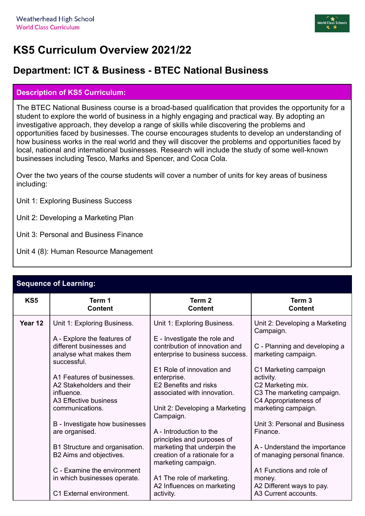

## **KS5 Curriculum Overview 2021/22**

## **Department: ICT & Business - BTEC National Business**

## **Description of KS5 Curriculum:**

The BTEC National Business course is a broad-based qualification that provides the opportunity for a student to explore the world of business in a highly engaging and practical way. By adopting an investigative approach, they develop a range of skills while discovering the problems and opportunities faced by businesses. The course encourages students to develop an understanding of how business works in the real world and they will discover the problems and opportunities faced by local, national and international businesses. Research will include the study of some well-known businesses including Tesco, Marks and Spencer, and Coca Cola.

Over the two years of the course students will cover a number of units for key areas of business including:

- Unit 1: Exploring Business Success
- Unit 2: Developing a Marketing Plan
- Unit 3: Personal and Business Finance
- Unit 4 (8): Human Resource Management

| Sequence of Learning: |                                                                                                   |                                                                                                   |                                                                          |  |
|-----------------------|---------------------------------------------------------------------------------------------------|---------------------------------------------------------------------------------------------------|--------------------------------------------------------------------------|--|
| KS5                   | Term 1<br><b>Content</b>                                                                          | Term <sub>2</sub><br><b>Content</b>                                                               | Term <sub>3</sub><br><b>Content</b>                                      |  |
| Year 12               | Unit 1: Exploring Business.                                                                       | Unit 1: Exploring Business.                                                                       | Unit 2: Developing a Marketing<br>Campaign.                              |  |
|                       | A - Explore the features of<br>different businesses and<br>analyse what makes them<br>successful. | E - Investigate the role and<br>contribution of innovation and<br>enterprise to business success. | C - Planning and developing a<br>marketing campaign.                     |  |
|                       | A1 Features of businesses.                                                                        | E1 Role of innovation and<br>enterprise.                                                          | C1 Marketing campaign<br>activity.                                       |  |
|                       | A2 Stakeholders and their<br>influence.<br>A3 Effective business                                  | E2 Benefits and risks<br>associated with innovation.                                              | C2 Marketing mix.<br>C3 The marketing campaign.<br>C4 Appropriateness of |  |
|                       | communications.                                                                                   | Unit 2: Developing a Marketing<br>Campaign.                                                       | marketing campaign.                                                      |  |
|                       | B - Investigate how businesses<br>are organised.                                                  | A - Introduction to the<br>principles and purposes of                                             | Unit 3: Personal and Business<br>Finance.                                |  |
|                       | B1 Structure and organisation.<br>B2 Aims and objectives.                                         | marketing that underpin the<br>creation of a rationale for a<br>marketing campaign.               | A - Understand the importance<br>of managing personal finance.           |  |
|                       | C - Examine the environment<br>in which businesses operate.                                       | A1 The role of marketing.                                                                         | A1 Functions and role of<br>money.                                       |  |
|                       | C1 External environment.                                                                          | A2 Influences on marketing<br>activity.                                                           | A2 Different ways to pay.<br>A3 Current accounts.                        |  |

## **Sequence of Learning:**